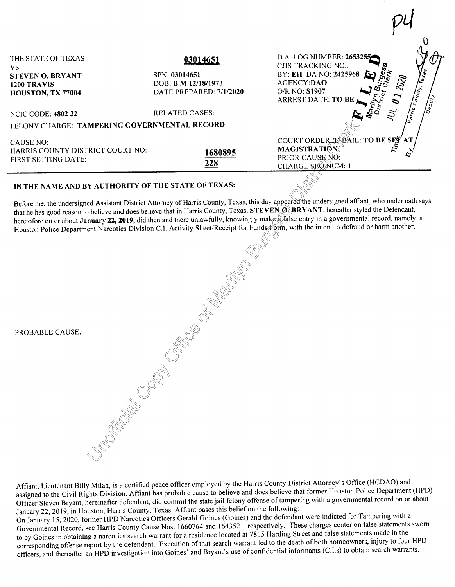| THE STATE OF TEXAS<br>VS.<br><b>STEVEN O. BRYANT</b><br>1200 TRAVIS<br>HOUSTON, TX 77004 | 03014651<br>SPN: 03014651<br>DOB: <b>B M 12/18/1973</b><br>DATE PREPARED: 7/1/2020 | D.A. LOG NUMBER: 2653255<br><b>CJIS TRACKING NO.:</b><br><b>COUNTY TEST</b><br>BY: EH DA NO: 2425968<br>AGENCY:DAO<br>O/R NO: <b>S1907</b><br><b>ARREST DATE: TO BE</b> |
|------------------------------------------------------------------------------------------|------------------------------------------------------------------------------------|-------------------------------------------------------------------------------------------------------------------------------------------------------------------------|
| <b>NCIC CODE: 4802 32</b>                                                                | <b>RELATED CASES:</b>                                                              | $\int_{\partial e_{\tilde{\mu}}}$                                                                                                                                       |
| FELONY CHARGE: TAMPERING GOVERNMENTAL RECORD                                             |                                                                                    |                                                                                                                                                                         |
| CAUSE NO:<br>HARRIS COUNTY DISTRICT COURT NO:<br><b>FIRST SETTING DATE:</b>              | 1680895<br>228                                                                     | COURT ORDERED BAIL: TO BE SET AT<br><b>MAGISTRATIÓN</b><br>PRIOR CAUSE NO:<br>CHARGE SEQNUM: 1                                                                          |
| IN THE NAME AND BY AUTHORITY OF THE STATE OF TEXAS:                                      |                                                                                    | Before me, the undersigned Assistant District Attorney of Harris County, Texas, this day appeared the undersigned affiant, who under oath says                          |

ħ

## IN THE NAME AND BY AUTHORITY OF THE STATE OF TEXAS:

FILITY OF THE WARD IS NOT THE STATE OF THE STATE OF THE STATE OF THE STATE OF THE STATE OF THE STATE OF THE STATE OF THE STATE OF THE STATE OF THE STATE OF THE STATE OF THE STATE OF THE STATE OF THE STATE OF THE STATE OF T that he has good reason to believe and does believe that in Harris County, Texas, **STEVEN 0. BRYANT,** hereafter styled the Defendant, heretofore on or about **January 22, 2019**, did then and there unlawfully, knowingly make a false entry in a governmental record, namely, a Houston Police Department Narcotics Division C.I. Activity Sheet/Receipt for Funds Form, with the intent to defraud or harm another.

| PROBABLE CAUSE: | <b>Contract Contract Contract Contract Contract Contract Contract Contract Contract Contract Contract Contract Contract Contract Contract Contract Contract Contract Contract Contract Contract Contract Contract Contract Contr</b> |
|-----------------|--------------------------------------------------------------------------------------------------------------------------------------------------------------------------------------------------------------------------------------|
|                 |                                                                                                                                                                                                                                      |

Affiant, Lieutenant Billy Milan, is a certified peace officer employed by the Harris County District Attorney's Office (HCDAO) and assigned to the Civil Rights Division. Affiant has probable cause to believe and does believe that former Houston Police Department (HPD) Officer Steven Bryant, hereinafter defendant, did commit the state jail felony offense of tampering with a governmental record on or about January 22, 2019, in Houston, Harris County, Texas. Affiant bases this belief on the following:

On January 15, 2020, former HPD Narcotics Officers Gerald Goines (Goines) and the defendant were indicted for Tampering with a Governmental Record, see Harris County Cause Nos. 1660764 and I 643521, respectively. These charges center on false statements sworn to by Goines in obtaining a narcotics search warrant for a residence located at 7815 Harding Street and false statements made in the corresponding offense report by the defendant. Execution of that search warrant led to the death of both homeowners, injury to four HPD officers, and thereafter an HPD investigation into Goines' and Bryant's use of confidential informants (C. l.s) to obtain search warrants.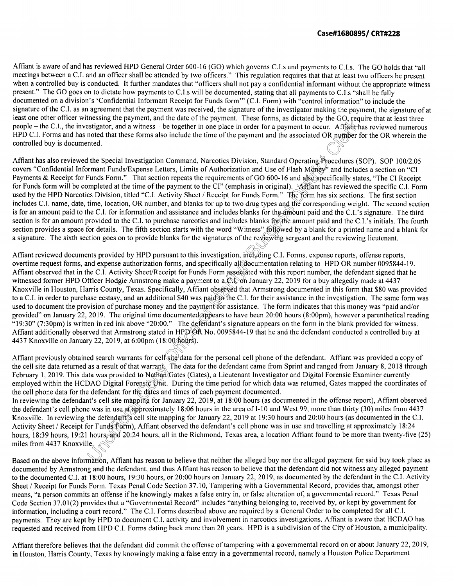the GO, request<br>or. Affiant has<br>DR number for Affiant is aware of and has reviewed HPD General Order 600-16 (GO) which governs C.I.s and payments to C.I.s. The GO holds that "all meetings between a C.I. and an officer shall be attended by two officers." This regulation requires that that at least two officers be present when a controlled buy is conducted. It further mandates that "officers shall not pay a confidential informant without the appropriate witness present." The GO goes on to dictate how payments to C.I.s will be documented, stating that all payments to C.I.s "shall be fully documented on a division's 'Confidential Informant Receipt for Funds form"' (C.I. Form) with "control information" to include the signature of the C.I. as an agreement that the payment was received, the signature of the investigator making the payment, the signature of at least one other officer witnessing the payment, and the date of the payment. These forms, as dictated by the GO, require that at least three people – the C.I., the investigator, and a witness – be together in one place in order for a payment to occur. Affant has reviewed numerous HPD C.I. Forms and has noted that these forms also include the time of the payment and the associated OR number for the OR wherein the controlled buy is documented.

Surfaces C.I. halle, date, the, location, OK hallbet, and blanks for up to two drug types and the corresponding weight. The second<br>is for an amount paid to the C.I. for information and assistance and includes blanks for th Affiant has also reviewed the Special Investigation Command, Narcotics Division, Standard Operating Procedures (SOP). SOP 100/2.05 covers "Confidential Informant Funds/Expense Letters, Limits of Authorization and Use of Fl covers "Confidential Informant Funds/Expense Letters, Limits of Authorization and Use of Flash Money" and includes a section on "CI Payments & Receipt for Funds Form." That section repeats the requirements of GO 600-16 and also specifically states, "The CI Receipt for Funds form will be completed at the time of the payment to the CI" (emphasis in original). Affiant has reviewed the specific C.I. Form used by the HPD Narcotics Division, titled "C.I. Activity Sheet/ Receipt for Funds Form." The form has six sections. The first section includes C.I. name, date, time, location, OR number, and blanks for up to two drug types and the corresponding weight. The second section is for an amount paid to the C.I. for information and assistance and includes blanks for the amount paid and the C.I. 's signature. The third section is for an amount provided to the C.I. to purchase narcotics and includes blanks for the amount paid and the C.I.'s initials. The fourth section provides a space for details. The fifth section starts with the word "Witness" followed by a blank for a printed name and a blank for a signature. The sixth section goes on to provide blanks for the signatures of the reviewing sergeant and the reviewing lieutenant.

T9.50 (7.50pm) is written in rea link above 20.00. The defendant s signature appears on the form in the blank provided for withess.<br>Affiant additionally observed that Armstrong stated in HPD OR No. 0095844-19 that he and t yment<br>1 appea<br>·fendar cifically all doce<br>Form associated<br>nt to a CN on Ja<br>t observed that A<br>aid to the C.I. for<br>ent for assistance overtime request forms, and expense authorization forms, and specifically all documentation relating to HPD OR number 0095844-19. Affiant observed that in the C.I. Activity Sheet/Receipt for Funds Form associated with this report number, the defendant signed that he witnessed former HPD Officer Hodgie Armstrong make a payment to a CN on January 22, 2019 for a buy allegedly made at 4437 Knoxville in Houston, Harris County, Texas. Specifically, Affiant observed that Armstrong documented in this form that \$80 was provided to a C.l. in order to purchase ecstasy, and an additional \$40 was paid to the C.I. for their assistance in the investigation. The same form was used to document the provision of purchase money and the payment for assistance. The form indicates that this money was "paid and/or provided" on January 22, 2019. The original time documented appears to have been 20:00 hours (8:00pm), however a parenthetical reading "19:30" (7:30pm) is written in red ink above "20:00." The defendant's signature appears on the form in the blank provided for witness. 4437 Knoxville on January 22, 2019, at 6:00pm (18:00 hours).

the cell site data returned as a result of that warrant. The data for the defendant came from<br>February 1, 2019. This data was provided to Natham Gates (Gates), a Lieutenant Investigat<br>employed within the HCDAO Digital Fore Affiant previously obtained search warrants for cell site data for the personal cell phone of the defendant. Affiant was provided a copy of the cell site data returned as a result of that warrant. The data for the defendant came from Sprint and ranged from January 8, 2018 through February 1, 2019. This data was provided to Nathan Gates (Gates), a Lieutenant Investigator and Digital Forensic Examiner currently employed within the HCDAO Digital Forensic Unit. During the time period for which data was returned, Gates mapped the coordinates of

It's cell site mappir<br>
e was in use a Cappr<br>
the defendant's cell<br>
or Funds Form), At<br>
hours and 20:24 h<br>
le.<br>
mation. Affiant has In reviewing the defendant's cell site mapping for January 22, 2019, at 18:00 hours (as documented in the offense report), Affiant observed the defendant's cell phone was in use at approximately 18:06 hours in the area of 1-10 and West 99, more than thirty (30) miles from 4437 Knoxville. In reviewing the defendant's cell site mapping for January 22, 2019 at 19:30 hours and 20:00 hours (as documented in the C.I. Activity Sheet / Receipt for Funds Form), Affiant observed the defendant's cell phone was in use and travelling at approximately 18:24 hours, 18:39 hours, 19:21 hours, and 20:24 hours, all in the Richmond, Texas area, a location Affiant found to be more than twenty-five (25) miles from 4437 Knoxville.

Based on the above information, Affiant has reason to believe that neither the alleged buy nor the alleged payment for said buy took place as documented by Armstrong and the defendant, and thus Affiant has reason to believe that the defendant did not witness any alleged payment to the documented C.I. at 18:00 hours, 19:30 hours, or 20:00 hours on January 22, 2019, as documented by the defendant in the C.I. Activity Sheet / Receipt for Funds Form. Texas Penal Code Section 37.10, Tampering with a Governmental Record, provides that, amongst other means, "a person commits an offense ifhe knowingly makes a false entry in, or false alteration of, a governmental record." Texas Penal Code Section 37.01(2) provides that a "Governmental Record" includes "anything belonging to, received by, or kept by government for information, including a court record." The C.I. Forms described above are required by a General Order to be completed for all C.I. payments. They are kept by HPD to document C.I. activity and involvement in narcotics investigations. Affiant is aware that HCDAO has requested and received from HPD C.I. Forms dating back more than 20 years. HPD is a subdivision of the City of Houston, a municipality.

Affiant therefore believes that the defendant did commit the offense of tampering with a governmental record on or about January 22, 2019, in Houston, Harris County, Texas by knowingly making a false entry in a governmental record, namely a Houston Police Department